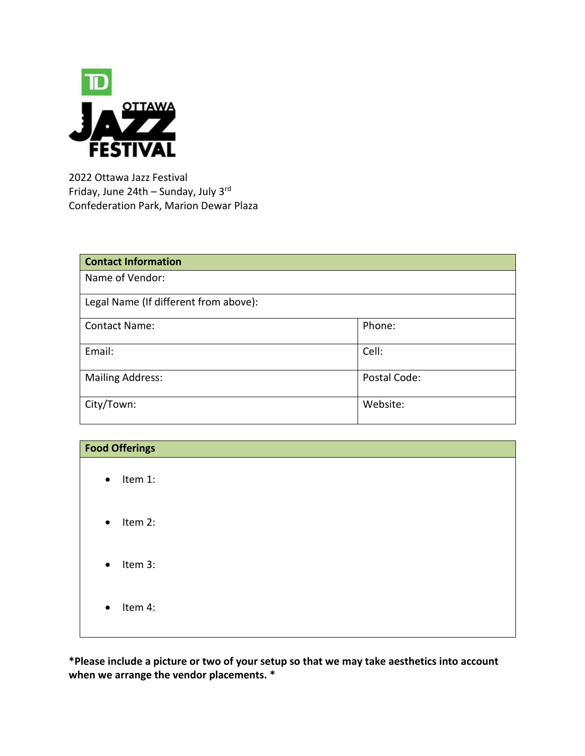

2022 Ottawa Jazz Festival Friday, June 24th – Sunday, July 3rd Confederation Park, Marion Dewar Plaza

| <b>Contact Information</b>            |              |  |
|---------------------------------------|--------------|--|
| Name of Vendor:                       |              |  |
| Legal Name (If different from above): |              |  |
| <b>Contact Name:</b>                  | Phone:       |  |
| Email:                                | Cell:        |  |
| <b>Mailing Address:</b>               | Postal Code: |  |
| City/Town:                            | Website:     |  |

| <b>Food Offerings</b> |  |
|-----------------------|--|
| Item 1:<br>$\bullet$  |  |
| $\bullet$ Item 2:     |  |
| $\bullet$ Item 3:     |  |
| Item 4:<br>$\bullet$  |  |

**\*Please include a picture or two of your setup so that we may take aesthetics into account when we arrange the vendor placements. \***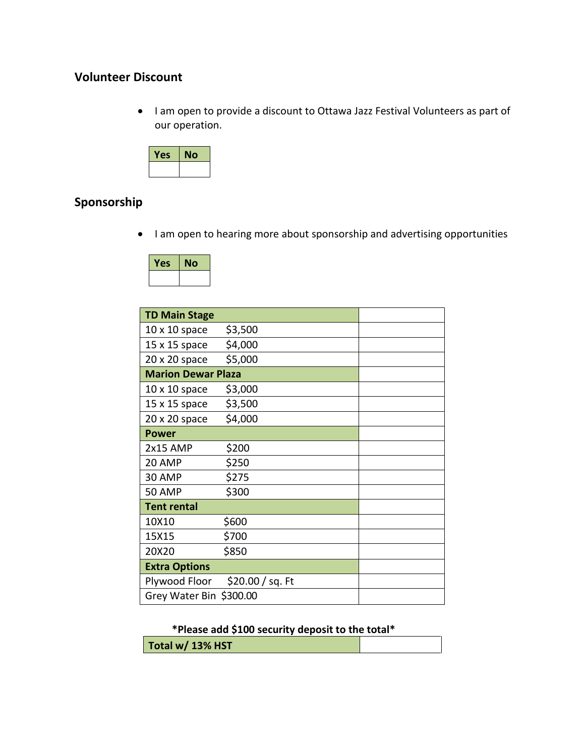## **Volunteer Discount**

• I am open to provide a discount to Ottawa Jazz Festival Volunteers as part of our operation.



# **Sponsorship**

I am open to hearing more about sponsorship and advertising opportunities

| Yes | No |
|-----|----|
|     |    |

| <b>TD Main Stage</b>      |                  |  |
|---------------------------|------------------|--|
| $10 \times 10$ space      | \$3,500          |  |
| 15 x 15 space             | \$4,000          |  |
| 20 x 20 space             | \$5,000          |  |
| <b>Marion Dewar Plaza</b> |                  |  |
| $10 \times 10$ space      | \$3,000          |  |
| 15 x 15 space             | \$3,500          |  |
| 20 x 20 space             | \$4,000          |  |
| <b>Power</b>              |                  |  |
| 2x15 AMP                  | \$200            |  |
| 20 AMP                    | \$250            |  |
| 30 AMP                    | \$275            |  |
| <b>50 AMP</b>             | \$300            |  |
| <b>Tent rental</b>        |                  |  |
| 10X10                     | \$600            |  |
| 15X15                     | \$700            |  |
| 20X20                     | \$850            |  |
| <b>Extra Options</b>      |                  |  |
| Plywood Floor             | \$20.00 / sq. Ft |  |
| Grey Water Bin \$300.00   |                  |  |

### **\*Please add \$100 security deposit to the total\***

| Total w/ 13% HST |  |
|------------------|--|
|------------------|--|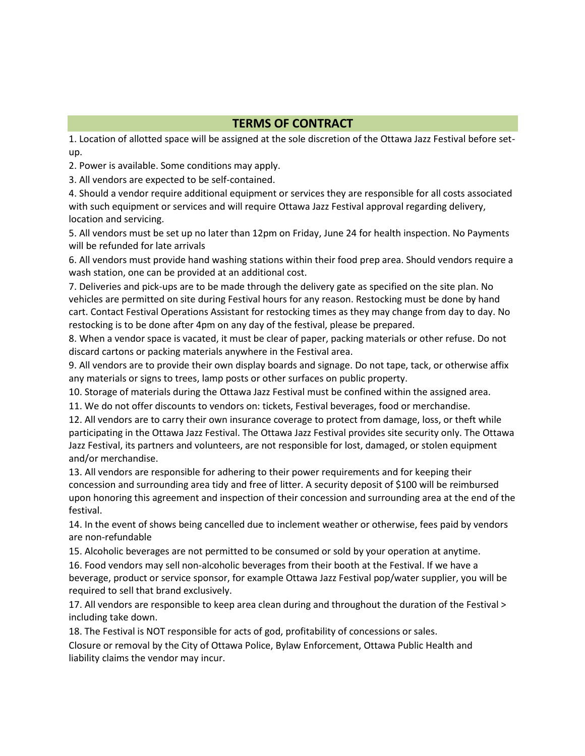#### **TERMS OF CONTRACT**

1. Location of allotted space will be assigned at the sole discretion of the Ottawa Jazz Festival before setup.

2. Power is available. Some conditions may apply.

3. All vendors are expected to be self-contained.

4. Should a vendor require additional equipment or services they are responsible for all costs associated with such equipment or services and will require Ottawa Jazz Festival approval regarding delivery, location and servicing.

5. All vendors must be set up no later than 12pm on Friday, June 24 for health inspection. No Payments will be refunded for late arrivals

6. All vendors must provide hand washing stations within their food prep area. Should vendors require a wash station, one can be provided at an additional cost.

7. Deliveries and pick-ups are to be made through the delivery gate as specified on the site plan. No vehicles are permitted on site during Festival hours for any reason. Restocking must be done by hand cart. Contact Festival Operations Assistant for restocking times as they may change from day to day. No restocking is to be done after 4pm on any day of the festival, please be prepared.

8. When a vendor space is vacated, it must be clear of paper, packing materials or other refuse. Do not discard cartons or packing materials anywhere in the Festival area.

9. All vendors are to provide their own display boards and signage. Do not tape, tack, or otherwise affix any materials or signs to trees, lamp posts or other surfaces on public property.

10. Storage of materials during the Ottawa Jazz Festival must be confined within the assigned area.

11. We do not offer discounts to vendors on: tickets, Festival beverages, food or merchandise.

12. All vendors are to carry their own insurance coverage to protect from damage, loss, or theft while participating in the Ottawa Jazz Festival. The Ottawa Jazz Festival provides site security only. The Ottawa Jazz Festival, its partners and volunteers, are not responsible for lost, damaged, or stolen equipment and/or merchandise.

13. All vendors are responsible for adhering to their power requirements and for keeping their concession and surrounding area tidy and free of litter. A security deposit of \$100 will be reimbursed upon honoring this agreement and inspection of their concession and surrounding area at the end of the festival.

14. In the event of shows being cancelled due to inclement weather or otherwise, fees paid by vendors are non-refundable

15. Alcoholic beverages are not permitted to be consumed or sold by your operation at anytime. 16. Food vendors may sell non-alcoholic beverages from their booth at the Festival. If we have a

beverage, product or service sponsor, for example Ottawa Jazz Festival pop/water supplier, you will be required to sell that brand exclusively.

17. All vendors are responsible to keep area clean during and throughout the duration of the Festival > including take down.

18. The Festival is NOT responsible for acts of god, profitability of concessions or sales.

Closure or removal by the City of Ottawa Police, Bylaw Enforcement, Ottawa Public Health and liability claims the vendor may incur.